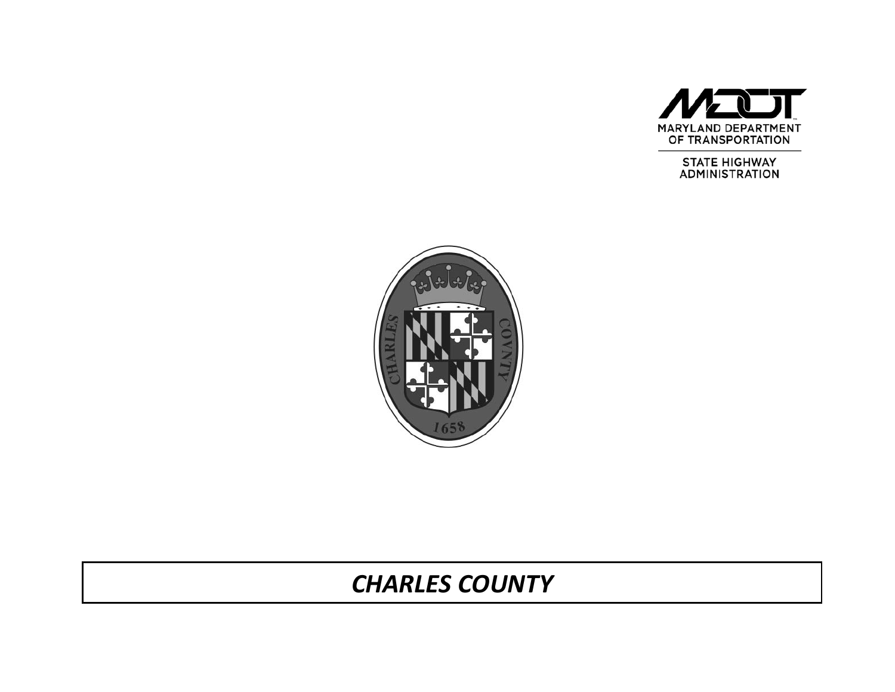

STATE HIGHWAY<br>ADMINISTRATION



# *CHARLES COUNTY*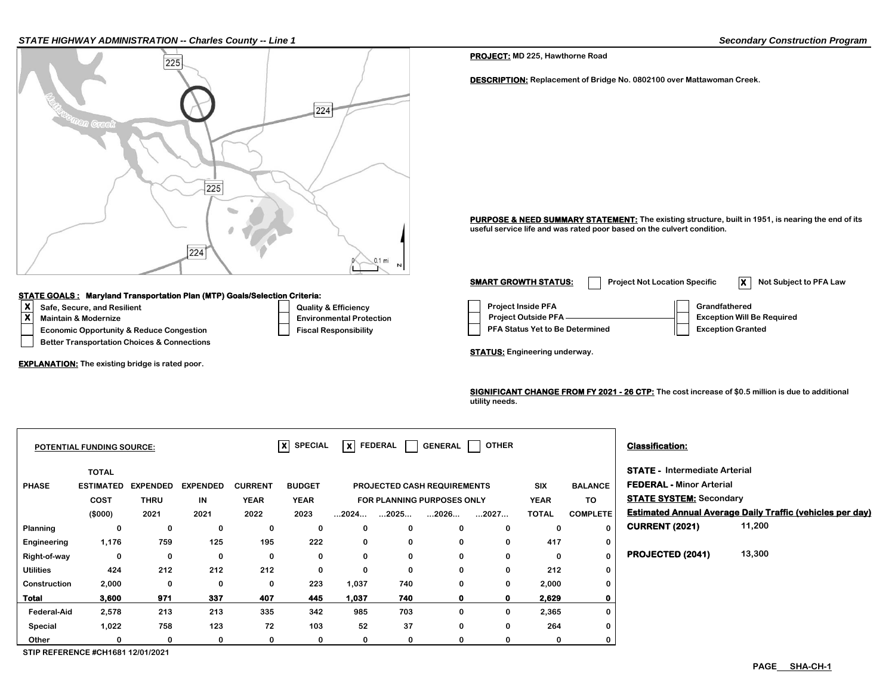#### *STATE HIGHWAY ADMINISTRATION -- Charles County -- Line 1 Secondary Construction Program*



### **STATE GOALS : Maryland Transportation Plan (MTP) Goals/Selection Criteria:**

- 
- 
- 
- **Better Transportation Choices & Connections**

**EXPLANATION: The existing bridge is rated poor.** 

**PROJECT: MD 225, Hawthorne Road**

**DESCRIPTION: Replacement of Bridge No. 0802100 over Mattawoman Creek.**

PURPOSE & NEED SUMMARY STATEMENT: The existing structure, built in 1951, is nearing the end of its **useful service life and was rated poor based on the culvert condition.**

**X**<br> **X** Safe, Secure, and Resilient Construction Construction Construction Construction Construction Construction Construction Construction Project Outside PFA Crandfathered<br>
Project Outside PFA Construction Construction **Economic Opportunity & Reduce Congestion Fiscal Responsibility Responsibility PFA Status Yet to Be Determined Fiscal Responsibility Maintain & Modernize** ★ **We Required Environmental Protection** Project Outside PFA —————————————— Exception Will Be Required **SMART GROWTH STATUS:** Project Not Location Specific **X** Not Subject to PFA Law

**STATUS: Engineering underway.**

**SIGNIFICANT CHANGE FROM FY 2021 - 26 CTP: The cost increase of \$0.5 million is due to additional utility needs.** 

|                    | POTENTIAL FUNDING SOURCE: |                 |                 |                | $ X $ SPECIAL |                      | $ X $ FEDERAL $ $                  | GENERAL      | OTHER       |              |                 | <b>Classification:</b>               |                                                                  |
|--------------------|---------------------------|-----------------|-----------------|----------------|---------------|----------------------|------------------------------------|--------------|-------------|--------------|-----------------|--------------------------------------|------------------------------------------------------------------|
|                    | <b>TOTAL</b>              |                 |                 |                |               |                      |                                    |              |             |              |                 | <b>STATE - Intermediate Arterial</b> |                                                                  |
| <b>PHASE</b>       | <b>ESTIMATED</b>          | <b>EXPENDED</b> | <b>EXPENDED</b> | <b>CURRENT</b> | <b>BUDGET</b> |                      | <b>PROJECTED CASH REQUIREMENTS</b> |              |             | <b>SIX</b>   | <b>BALANCE</b>  | <b>FEDERAL - Minor Arterial</b>      |                                                                  |
|                    | COST                      | <b>THRU</b>     | IN              | <b>YEAR</b>    | <b>YEAR</b>   |                      | FOR PLANNING PURPOSES ONLY         |              |             | <b>YEAR</b>  | TO              | <b>STATE SYSTEM: Secondary</b>       |                                                                  |
|                    | (\$000)                   | 2021            | 2021            | 2022           | 2023          | $\dots$ 2024 $\dots$ | 2025                               | 2026         | 2027        | <b>TOTAL</b> | <b>COMPLETE</b> |                                      | <b>Estimated Annual Average Daily Traffic (vehicles per day)</b> |
| Planning           | 0                         | 0               | 0               | 0              | 0             | 0                    | 0                                  | 0            | 0           |              | 0               | <b>CURRENT (2021)</b>                | 11,200                                                           |
| Engineering        | 1,176                     | 759             | 125             | 195            | 222           | 0                    | $\bf{0}$                           | 0            | 0           | 417          | $\mathbf 0$     |                                      |                                                                  |
| Right-of-way       | 0                         | 0               | 0               | 0              | 0             | 0                    | 0                                  | 0            | 0           | 0            | $\mathbf{0}$    | PROJECTED (2041)                     | 13,300                                                           |
| <b>Utilities</b>   | 424                       | 212             | 212             | 212            | 0             | $\mathbf 0$          | 0                                  | 0            | $\Omega$    | 212          | 0               |                                      |                                                                  |
| Construction       | 2,000                     | 0               | 0               | 0              | 223           | 1,037                | 740                                | 0            | 0           | 2,000        | $\mathbf 0$     |                                      |                                                                  |
| <b>Total</b>       | 3,600                     | 971             | 337             | 407            | 445           | 1.037                | 740                                | $\mathbf{0}$ | $\mathbf o$ | 2.629        | $\mathbf 0$     |                                      |                                                                  |
| <b>Federal-Aid</b> | 2,578                     | 213             | 213             | 335            | 342           | 985                  | 703                                | 0            | 0           | 2,365        | 0               |                                      |                                                                  |
| Special            | 1,022                     | 758             | 123             | 72             | 103           | 52                   | 37                                 | $\Omega$     | $\Omega$    | 264          | 0               |                                      |                                                                  |
| Other              | 0                         | 0               | 0               | 0              | 0             | 0                    | 0                                  | 0            | 0           | 0            | $\mathbf 0$     |                                      |                                                                  |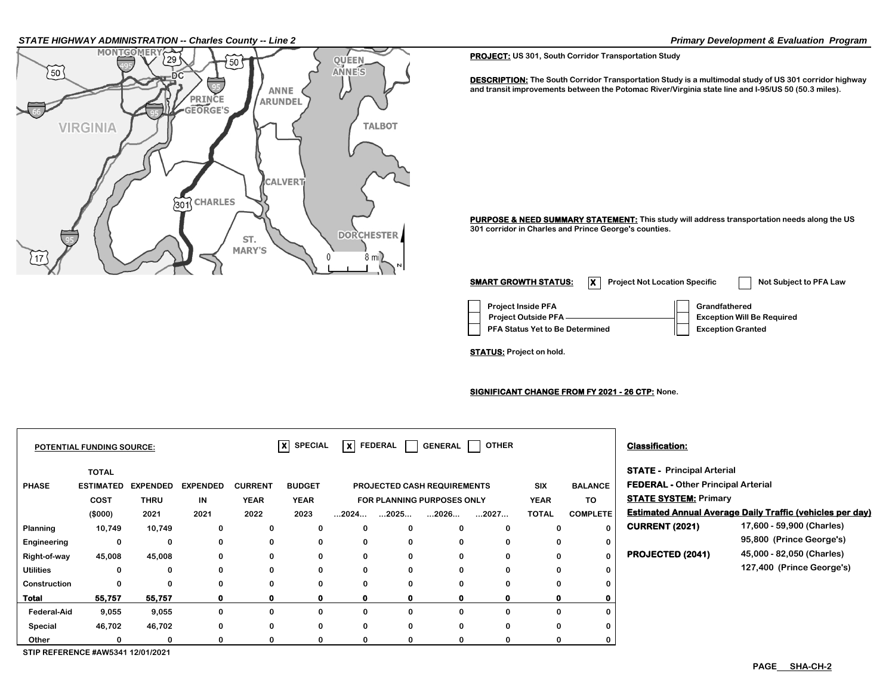## *STATE HIGHWAY ADMINISTRATION -- Charles County -- Line 2 Primary Development & Evaluation Program*



**PROJECT: US 301, South Corridor Transportation Study**

**DESCRIPTION: The South Corridor Transportation Study is a multimodal study of US 301 corridor highway and transit improvements between the Potomac River/Virginia state line and I-95/US 50 (50.3 miles).**

**PURPOSE & NEED SUMMARY STATEMENT: This study will address transportation needs along the US 301 corridor in Charles and Prince George's counties.**

**Project Inside PFA Grandfathered PFA Status Yet to Be Determined**  Exception Granted  **Project Outside PFA Exception Will Be Required SMART GROWTH STATUS: X** Project Not Location Specific **Not Subject to PFA Law** 

**STATUS: Project on hold.**

**SIGNIFICANT CHANGE FROM FY 2021 - 26 CTP: None.**

|                    | <b>POTENTIAL FUNDING SOURCE:</b>                |                                 |                               |                                       | $\overline{\mathbf{x}}$<br><b>SPECIAL</b> |                      | $x$ FEDERAL                                                              | <b>GENERAL</b> | <b>OTHER</b> |                                           |                                         | <b>Classification:</b>                                                                                         |                                                                  |
|--------------------|-------------------------------------------------|---------------------------------|-------------------------------|---------------------------------------|-------------------------------------------|----------------------|--------------------------------------------------------------------------|----------------|--------------|-------------------------------------------|-----------------------------------------|----------------------------------------------------------------------------------------------------------------|------------------------------------------------------------------|
| <b>PHASE</b>       | <b>TOTAL</b><br><b>ESTIMATED</b><br><b>COST</b> | <b>EXPENDED</b><br>THRU<br>2021 | <b>EXPENDED</b><br>IN<br>2021 | <b>CURRENT</b><br><b>YEAR</b><br>2022 | <b>BUDGET</b><br><b>YEAR</b><br>2023      | $\dots$ 2024 $\dots$ | PROJECTED CASH REQUIREMENTS<br><b>FOR PLANNING PURPOSES ONLY</b><br>2025 | 2026           |              | <b>SIX</b><br><b>YEAR</b><br><b>TOTAL</b> | <b>BALANCE</b><br>TO<br><b>COMPLETE</b> | <b>STATE - Principal Arterial</b><br><b>FEDERAL - Other Principal Arterial</b><br><b>STATE SYSTEM: Primary</b> | <b>Estimated Annual Average Daily Traffic (vehicles per day)</b> |
| Planning           | (\$000)<br>10,749                               | 10,749                          | 0                             | 0                                     | 0                                         | 0                    | 0                                                                        | 0              | 2027<br>0    | 0                                         |                                         | <b>CURRENT (2021)</b>                                                                                          | 17,600 - 59,900 (Charles)                                        |
| Engineering        | 0                                               | 0                               | 0                             | 0                                     | $\mathbf 0$                               | 0                    | 0                                                                        | 0              | 0            | 0                                         |                                         |                                                                                                                | 95,800 (Prince George's)                                         |
| Right-of-way       | 45,008                                          | 45,008                          | 0                             | 0                                     | 0                                         | 0                    | 0                                                                        | 0              |              | 0                                         |                                         | <b>PROJECTED (2041)</b>                                                                                        | 45,000 - 82,050 (Charles)                                        |
| <b>Utilities</b>   | 0                                               | 0                               | 0                             | 0                                     | $\mathbf 0$                               | 0                    | 0                                                                        | 0              | 0            | 0                                         |                                         |                                                                                                                | 127,400 (Prince George's)                                        |
| Construction       | 0                                               | 0                               |                               | 0                                     | $\mathbf 0$                               | 0                    | 0                                                                        | 0              |              | $\bf{0}$                                  |                                         |                                                                                                                |                                                                  |
| <b>Total</b>       | 55,757                                          | 55,757                          | 0                             | $\mathbf 0$                           | $\mathbf 0$                               | 0                    | 0                                                                        | o              |              | $\mathbf o$                               |                                         |                                                                                                                |                                                                  |
| <b>Federal-Aid</b> | 9,055                                           | 9,055                           | 0                             | 0                                     | $\mathbf 0$                               | 0                    | 0                                                                        | 0              | 0            | 0                                         |                                         |                                                                                                                |                                                                  |
| Special            | 46,702                                          | 46,702                          | 0                             | 0                                     | $\mathbf 0$                               | 0                    | 0                                                                        | 0              | 0            | 0                                         |                                         |                                                                                                                |                                                                  |
| Other              |                                                 | $\Omega$                        |                               | $\bf{0}$                              | 0                                         | 0                    | $\bf{0}$                                                                 | 0              |              | 0                                         |                                         |                                                                                                                |                                                                  |
|                    | STIP REFERENCE #AW5341 12/01/2021               |                                 |                               |                                       |                                           |                      |                                                                          |                |              |                                           |                                         |                                                                                                                |                                                                  |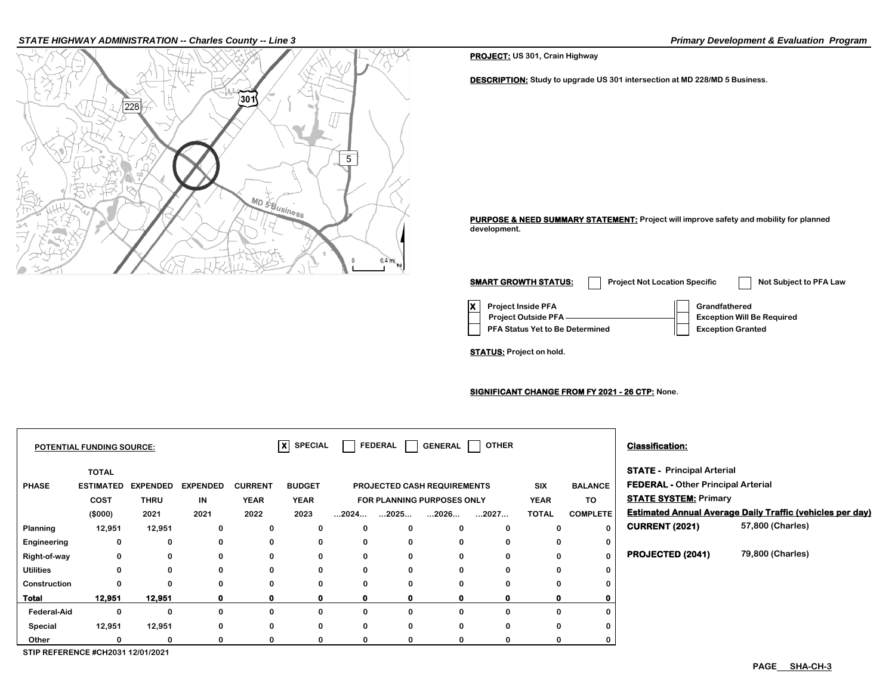#### *STATE HIGHWAY ADMINISTRATION -- Charles County -- Line 3 Primary Development & Evaluation Program*



**PROJECT: US 301, Crain Highway**

**DESCRIPTION: Study to upgrade US 301 intersection at MD 228/MD 5 Business.**

**PURPOSE & NEED SUMMARY STATEMENT: Project will improve safety and mobility for planned development.**

**X** Project Inside PFA **Grandfathered PFA Status Yet to Be Determined**  | Exception Granted  **Project Outside PFA Exception Will Be Required SMART GROWTH STATUS:** Project Not Location Specific Not Subject to PFA Law

**STATUS: Project on hold.**

**SIGNIFICANT CHANGE FROM FY 2021 - 26 CTP: None.**

|                    | <b>POTENTIAL FUNDING SOURCE:</b>  |                 |                 |                | $ X $ SPECIAL |                                   | FEDERAL  <br>$\mathbf{I}$ | <b>GENERAL</b>              | OTHER |              |                 | <b>Classification:</b>                                                         |                                                                  |  |
|--------------------|-----------------------------------|-----------------|-----------------|----------------|---------------|-----------------------------------|---------------------------|-----------------------------|-------|--------------|-----------------|--------------------------------------------------------------------------------|------------------------------------------------------------------|--|
| <b>PHASE</b>       | <b>TOTAL</b><br><b>ESTIMATED</b>  | <b>EXPENDED</b> | <b>EXPENDED</b> | <b>CURRENT</b> | <b>BUDGET</b> |                                   |                           | PROJECTED CASH REQUIREMENTS |       | SIX          | <b>BALANCE</b>  | <b>STATE - Principal Arterial</b><br><b>FEDERAL - Other Principal Arterial</b> |                                                                  |  |
|                    | <b>COST</b>                       | <b>THRU</b>     | IN              | <b>YEAR</b>    | <b>YEAR</b>   | <b>FOR PLANNING PURPOSES ONLY</b> |                           |                             |       | <b>YEAR</b>  | TO              | <b>STATE SYSTEM: Primary</b>                                                   |                                                                  |  |
|                    | (\$000)                           | 2021            | 2021            | 2022           | 2023          | $\dots$ 2024 $\dots$              | $\dots$ 2025 $\dots$      | 2026                        | 2027  | <b>TOTAL</b> | <b>COMPLETE</b> |                                                                                | <b>Estimated Annual Average Daily Traffic (vehicles per day)</b> |  |
| Planning           | 12,951                            | 12,951          | 0               | 0              | 0             | 0                                 | $\mathbf 0$               | 0                           |       | 0            | $\bf{0}$        | <b>CURRENT (2021)</b>                                                          | 57,800 (Charles)                                                 |  |
| Engineering        | 0                                 | $\bf{0}$        | 0               | 0              | 0             | 0                                 | $\bf{0}$                  | 0                           | 0     | 0            | 0               |                                                                                |                                                                  |  |
| Right-of-way       | $\mathbf 0$                       | 0               | 0               | 0              | 0             | 0                                 | 0                         | 0                           |       | 0            | $\bf{0}$        | <b>PROJECTED (2041)</b>                                                        | 79,800 (Charles)                                                 |  |
| <b>Utilities</b>   | $\mathbf 0$                       | 0               | 0               | $\mathbf 0$    | $\bf{0}$      | 0                                 | $\mathbf 0$               | 0                           |       | 0            | 0               |                                                                                |                                                                  |  |
| Construction       | $\Omega$                          | 0               | 0               | 0              | $\bf{0}$      | 0                                 | $\mathbf 0$               | 0                           |       | 0            | 0               |                                                                                |                                                                  |  |
| Total              | 12,951                            | 12,951          |                 | 0              | 0             | 0                                 | 0                         | 0                           |       |              |                 |                                                                                |                                                                  |  |
| <b>Federal-Aid</b> | 0                                 | $\Omega$        |                 | 0              | $\Omega$      | 0                                 | $\mathbf{0}$              | $\Omega$                    |       | 0            | 0               |                                                                                |                                                                  |  |
| Special            | 12,951                            | 12,951          | 0               | 0              | $\bf{0}$      | 0                                 | $\mathbf 0$               | 0                           |       | 0            | 0               |                                                                                |                                                                  |  |
| Other              |                                   | O               |                 | $\Omega$       | 0             | 0                                 | 0                         | 0                           |       | o            | 0               |                                                                                |                                                                  |  |
|                    | STIP REFERENCE #CH2031 12/01/2021 |                 |                 |                |               |                                   |                           |                             |       |              |                 |                                                                                |                                                                  |  |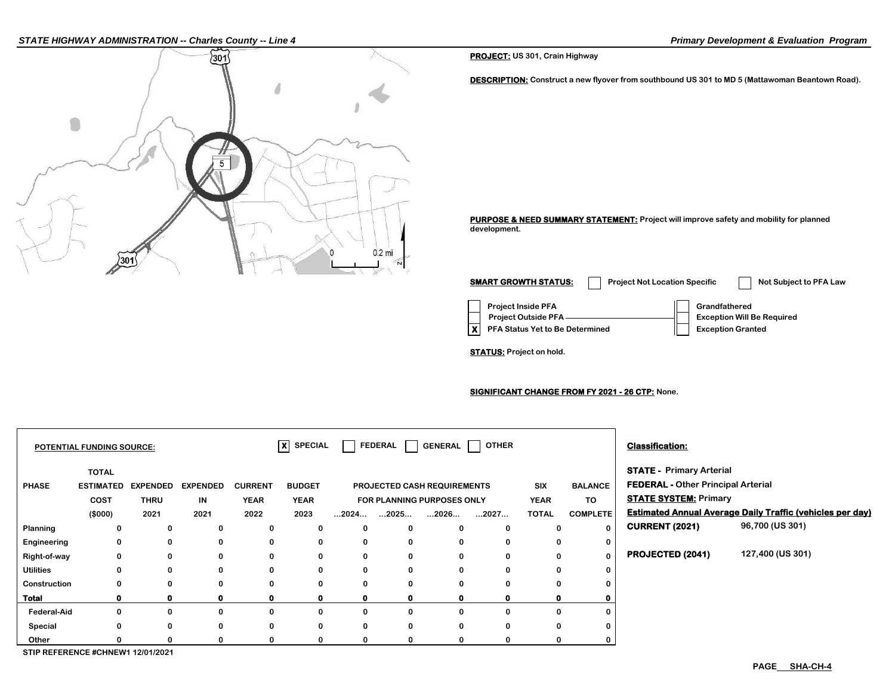#### *STATE HIGHWAY ADMINISTRATION -- Charles County -- Line 4 Primary Development & Evaluation Program*



**PROJECT: US 301, Crain Highway**

**DESCRIPTION: Construct a new flyover from southbound US 301 to MD 5 (Mattawoman Beantown Road).**

**PURPOSE & NEED SUMMARY STATEMENT: Project will improve safety and mobility for planned development.**

**Project Inside PFA Grandfathered X** PFA Status Yet to Be Determined **Exception Granted Project Outside PFA Exception Will Be Required SMART GROWTH STATUS:** Project Not Location Specific Not Subject to PFA Law

**STATUS: Project on hold.**

**SIGNIFICANT CHANGE FROM FY 2021 - 26 CTP: None.**

|                    | POTENTIAL FUNDING SOURCE:                |                 |                 |                | $\overline{\mathsf{x}}$ SPECIAL |                            |                                           | FEDERAL     GENERAL         | <b>OTHER</b> |              |                              | <b>Classification:</b>                    |                                                                  |
|--------------------|------------------------------------------|-----------------|-----------------|----------------|---------------------------------|----------------------------|-------------------------------------------|-----------------------------|--------------|--------------|------------------------------|-------------------------------------------|------------------------------------------------------------------|
|                    | <b>TOTAL</b>                             |                 |                 |                |                                 |                            |                                           |                             |              |              |                              | <b>STATE - Primary Arterial</b>           |                                                                  |
| <b>PHASE</b>       | <b>ESTIMATED</b>                         | <b>EXPENDED</b> | <b>EXPENDED</b> | <b>CURRENT</b> | <b>BUDGET</b>                   |                            |                                           | PROJECTED CASH REQUIREMENTS |              | <b>SIX</b>   | <b>BALANCE</b>               | <b>FEDERAL - Other Principal Arterial</b> |                                                                  |
|                    | <b>COST</b>                              | <b>THRU</b>     | IN              | <b>YEAR</b>    | <b>YEAR</b>                     | FOR PLANNING PURPOSES ONLY |                                           |                             | <b>YEAR</b>  | TO           | <b>STATE SYSTEM: Primary</b> |                                           |                                                                  |
|                    | (\$000)                                  | 2021            | 2021            | 2022           | 2023                            |                            | $\dots$ 2024 $\dots$ $\dots$ 2025 $\dots$ | 2026                        | 2027         | <b>TOTAL</b> | <b>COMPLETE</b>              |                                           | <b>Estimated Annual Average Daily Traffic (vehicles per day)</b> |
| Planning           | 0                                        | 0               | 0               | 0              | 0                               | 0                          | 0                                         | 0                           |              | 0            | $\bf{0}$                     | <b>CURRENT (2021)</b>                     | 96,700 (US 301)                                                  |
| Engineering        | 0                                        | 0               | 0               | 0              | 0                               | 0                          | $\mathbf 0$                               | 0                           |              | 0            | 0                            |                                           |                                                                  |
| Right-of-way       | 0                                        | 0               | 0               | 0              | 0                               | 0                          | $\mathbf 0$                               | $\mathbf 0$                 |              | 0            | $\bf{0}$                     | <b>PROJECTED (2041)</b>                   | 127,400 (US 301)                                                 |
| <b>Utilities</b>   | 0                                        | 0               | 0               | 0              | 0                               | 0                          | 0                                         | $\mathbf{0}$                |              | $\bf{0}$     | 0                            |                                           |                                                                  |
| Construction       |                                          | 0               | 0               | 0              | 0                               | 0                          | 0                                         | 0                           |              | 0            | 0                            |                                           |                                                                  |
| Total              |                                          | $\mathbf{o}$    | 0               | $\mathbf{o}$   | 0                               | $\mathbf{0}$               | $\mathbf 0$                               | 0                           |              | 0            | 0                            |                                           |                                                                  |
| <b>Federal-Aid</b> | 0                                        | 0               | 0               | 0              | 0                               | 0                          | $\mathbf 0$                               | 0                           |              | 0            | 0                            |                                           |                                                                  |
| Special            | 0                                        | 0               | 0               | 0              | 0                               | 0                          | 0                                         | 0                           |              | 0            | 0                            |                                           |                                                                  |
| Other              |                                          | 0               | 0               |                |                                 | 0                          | $\Omega$                                  | 0                           |              | $\Omega$     | 0                            |                                           |                                                                  |
|                    | <b>CTID DEEEDENCE #CUNEW4 49/04/9094</b> |                 |                 |                |                                 |                            |                                           |                             |              |              |                              |                                           |                                                                  |

**STIP REFERENCE #CHNEW1 12/01/2021**